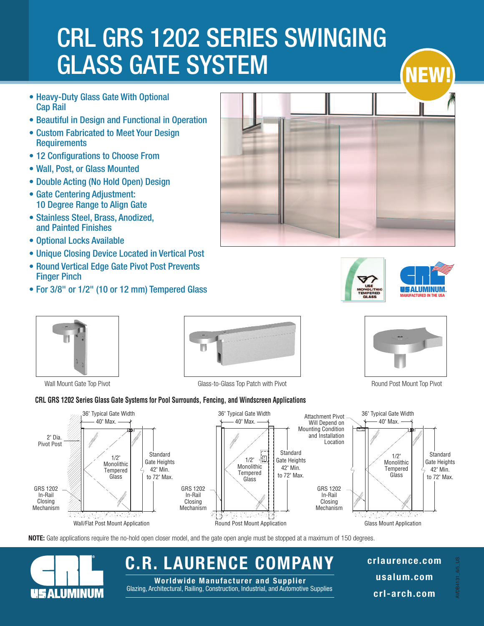# CRL GRS 1202 SERIES SWINGING GLASS GATE SYSTEM

- Heavy-Duty Glass Gate With Optional Cap Rail
- Beautiful in Design and Functional in Operation
- Custom Fabricated to Meet Your Design **Requirements**
- 12 Configurations to Choose From
- Wall, Post, or Glass Mounted
- Double Acting (No Hold Open) Design
- Gate Centering Adjustment: 10 Degree Range to Align Gate
- Stainless Steel, Brass, Anodized, and Painted Finishes
- Optional Locks Available
- Unique Closing Device Located in Vertical Post
- Round Vertical Edge Gate Pivot Post Prevents Finger Pinch
- For 3/8" or 1/2" (10 or 12 mm) Tempered Glass









**ALUMINUM** 



Wall Mount Gate Top Pivot **Glass-to-Glass Top Patch with Pivot** Chass Top Patch with Pivot Round Post Mount Top Pivot

### **CRL GRS 1202 Series Glass Gate Systems for Pool Surrounds, Fencing, and Windscreen Applications**



**NOTE:** Gate applications require the no-hold open closer model, and the gate open angle must be stopped at a maximum of 150 degrees.

## **C.R. LAURENCE COMPANY**

Glazing, Architectural, Railing, Construction, Industrial, and Automotive Supplies **Worldwide Manufac tur e r and Suppl i e r**

**crlaurence.com usalum.com crl-arch.com**